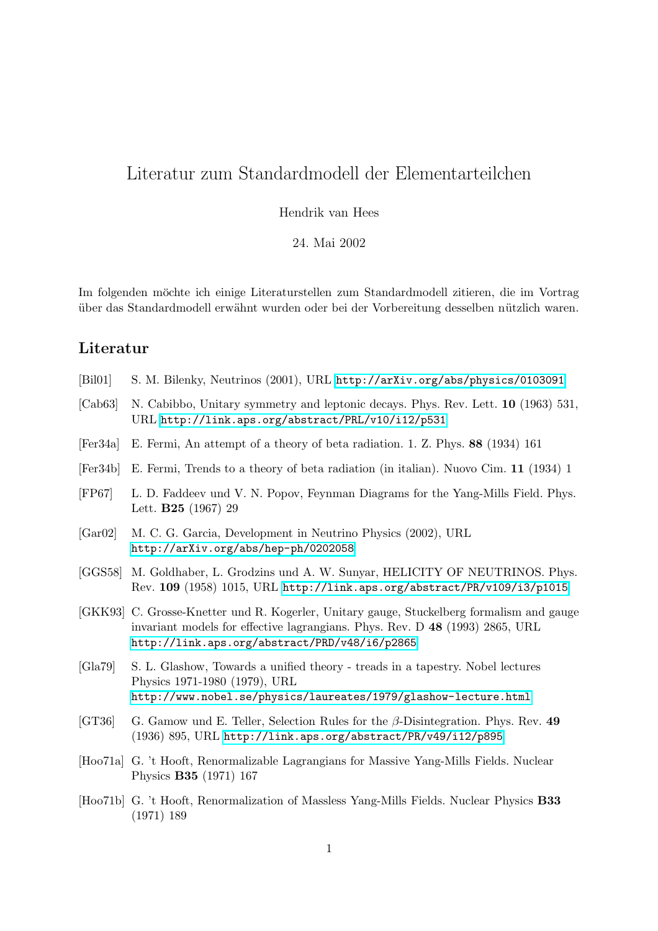## Literatur zum Standardmodell der Elementarteilchen

Hendrik van Hees

24. Mai 2002

Im folgenden möchte ich einige Literaturstellen zum Standardmodell zitieren, die im Vortrag über das Standardmodell erwähnt wurden oder bei der Vorbereitung desselben nützlich waren.

## Literatur

- [Bil01] S. M. Bilenky, Neutrinos (2001), URL <http://arXiv.org/abs/physics/0103091>
- [Cab63] N. Cabibbo, Unitary symmetry and leptonic decays. Phys. Rev. Lett. 10 (1963) 531, URL <http://link.aps.org/abstract/PRL/v10/i12/p531>
- [Fer34a] E. Fermi, An attempt of a theory of beta radiation. 1. Z. Phys. 88 (1934) 161
- [Fer34b] E. Fermi, Trends to a theory of beta radiation (in italian). Nuovo Cim. 11 (1934) 1
- [FP67] L. D. Faddeev und V. N. Popov, Feynman Diagrams for the Yang-Mills Field. Phys. Lett. B25 (1967) 29
- [Gar02] M. C. G. Garcia, Development in Neutrino Physics (2002), URL <http://arXiv.org/abs/hep-ph/0202058>
- [GGS58] M. Goldhaber, L. Grodzins und A. W. Sunyar, HELICITY OF NEUTRINOS. Phys. Rev. 109 (1958) 1015, URL <http://link.aps.org/abstract/PR/v109/i3/p1015>
- [GKK93] C. Grosse-Knetter und R. Kogerler, Unitary gauge, Stuckelberg formalism and gauge invariant models for effective lagrangians. Phys. Rev. D 48 (1993) 2865, URL <http://link.aps.org/abstract/PRD/v48/i6/p2865>
- [Gla79] S. L. Glashow, Towards a unified theory treads in a tapestry. Nobel lectures Physics 1971-1980 (1979), URL <http://www.nobel.se/physics/laureates/1979/glashow-lecture.html>
- [GT36] G. Gamow und E. Teller, Selection Rules for the β-Disintegration. Phys. Rev. 49 (1936) 895, URL <http://link.aps.org/abstract/PR/v49/i12/p895>
- [Hoo71a] G. 't Hooft, Renormalizable Lagrangians for Massive Yang-Mills Fields. Nuclear Physics B35 (1971) 167
- [Hoo71b] G. 't Hooft, Renormalization of Massless Yang-Mills Fields. Nuclear Physics B33 (1971) 189